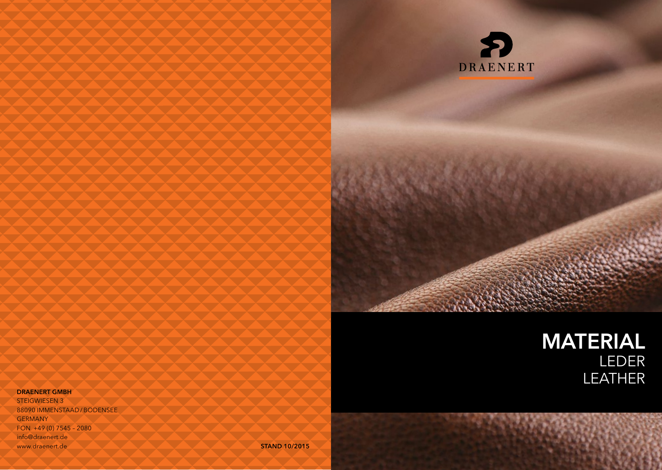

# MATERIAL LEDER LEATHER

#### DRAENERT GMBH

STEIGWIESEN 3 88090 IMMENSTAAD /BODENSEE **GERMANY** FON +49 (0) 7545 – 2080 info@draenert.de www.draenert.de STAND 10/2015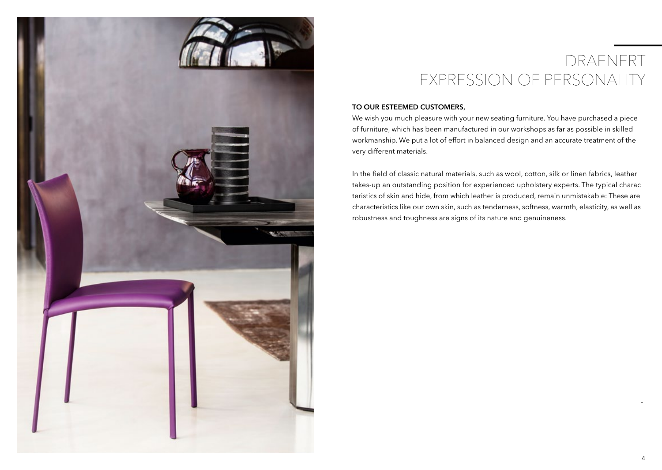

# DRAENERT EXPRESSION OF PERSONALITY

## TO OUR ESTEEMED CUSTOMERS,

We wish you much pleasure with your new seating furniture. You have purchased a piece of furniture, which has been manufactured in our workshops as far as possible in skilled workmanship. We put a lot of effort in balanced design and an accurate treatment of the very different materials.

In the field of classic natural materials, such as wool, cotton, silk or linen fabrics, leather takes-up an outstanding position for experienced upholstery experts. The typical charac teristics of skin and hide, from which leather is produced, remain unmistakable: These are characteristics like our own skin, such as tenderness, softness, warmth, elasticity, as well as robustness and toughness are signs of its nature and genuineness.

-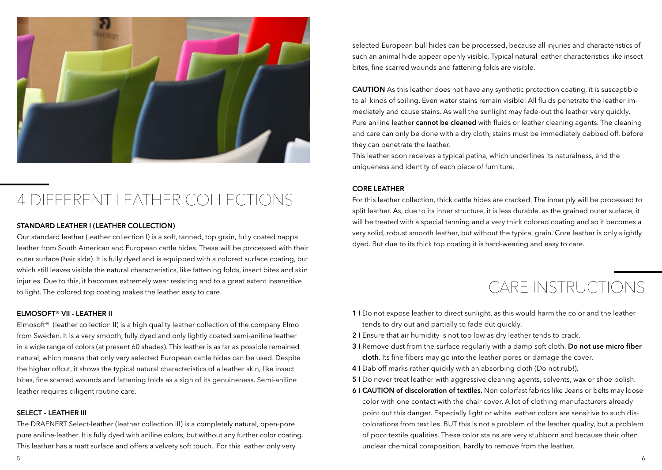

# 4 DIFFERENT LEATHER COLLECTIONS

# STANDARD LEATHER I (LEATHER COLLECTION)

Our standard leather (leather collection I) is a soft, tanned, top grain, fully coated nappa leather from South American and European cattle hides. These will be processed with their outer surface (hair side). It is fully dyed and is equipped with a colored surface coating, but which still leaves visible the natural characteristics, like fattening folds, insect bites and skin injuries. Due to this, it becomes extremely wear resisting and to a great extent insensitive to light. The colored top coating makes the leather easy to care.

#### ELMOSOFT® VII - LEATHER II

Elmosoft<sup>®</sup> (leather collection II) is a high quality leather collection of the company Elmo from Sweden. It is a very smooth, fully dyed and only lightly coated semi-aniline leather in a wide range of colors (at present 60 shades). This leather is as far as possible remained natural, which means that only very selected European cattle hides can be used. Despite the higher offcut, it shows the typical natural characteristics of a leather skin, like insect bites, fine scarred wounds and fattening folds as a sign of its genuineness. Semi-aniline leather requires diligent routine care.

### SELECT – LEATHER III

The DRAENERT Select-leather (leather collection III) is a completely natural, open-pore pure aniline-leather. It is fully dyed with aniline colors, but without any further color coating. This leather has a matt surface and offers a velvety soft touch. For this leather only very

selected European bull hides can be processed, because all injuries and characteristics of such an animal hide appear openly visible. Typical natural leather characteristics like insect bites, fine scarred wounds and fattening folds are visible.

CAUTION As this leather does not have any synthetic protection coating, it is susceptible to all kinds of soiling. Even water stains remain visible! All fluids penetrate the leather immediately and cause stains. As well the sunlight may fade-out the leather very quickly. Pure aniline leather cannot be cleaned with fluids or leather cleaning agents. The cleaning and care can only be done with a dry cloth, stains must be immediately dabbed off, before they can penetrate the leather.

This leather soon receives a typical patina, which underlines its naturalness, and the uniqueness and identity of each piece of furniture.

### CORE LEATHER

For this leather collection, thick cattle hides are cracked. The inner ply will be processed to split leather. As, due to its inner structure, it is less durable, as the grained outer surface, it will be treated with a special tanning and a very thick colored coating and so it becomes a very solid, robust smooth leather, but without the typical grain. Core leather is only slightly dyed. But due to its thick top coating it is hard-wearing and easy to care.

# CARE INSTRUCTIONS

- 1 I Do not expose leather to direct sunlight, as this would harm the color and the leather tends to dry out and partially to fade out quickly.
- 2 I Ensure that air humidity is not too low as dry leather tends to crack.
- 3 I Remove dust from the surface regularly with a damp soft cloth. Do not use micro fiber cloth. Its fine fibers may go into the leather pores or damage the cover.
- 4 I Dab off marks rather quickly with an absorbing cloth (Do not rub!).
- 5 I Do never treat leather with aggressive cleaning agents, solvents, wax or shoe polish.
- 6 I CAUTION of discoloration of textiles. Non colorfast fabrics like Jeans or belts may loose color with one contact with the chair cover. A lot of clothing manufacturers already point out this danger. Especially light or white leather colors are sensitive to such discolorations from textiles. BUT this is not a problem of the leather quality, but a problem of poor textile qualities. These color stains are very stubborn and because their often unclear chemical composition, hardly to remove from the leather.